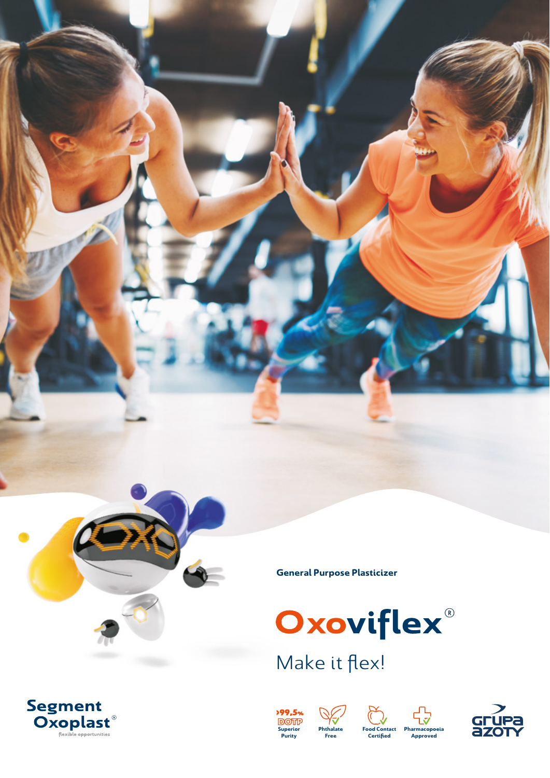

**General Purpose Plasticizer**



Make it flex!